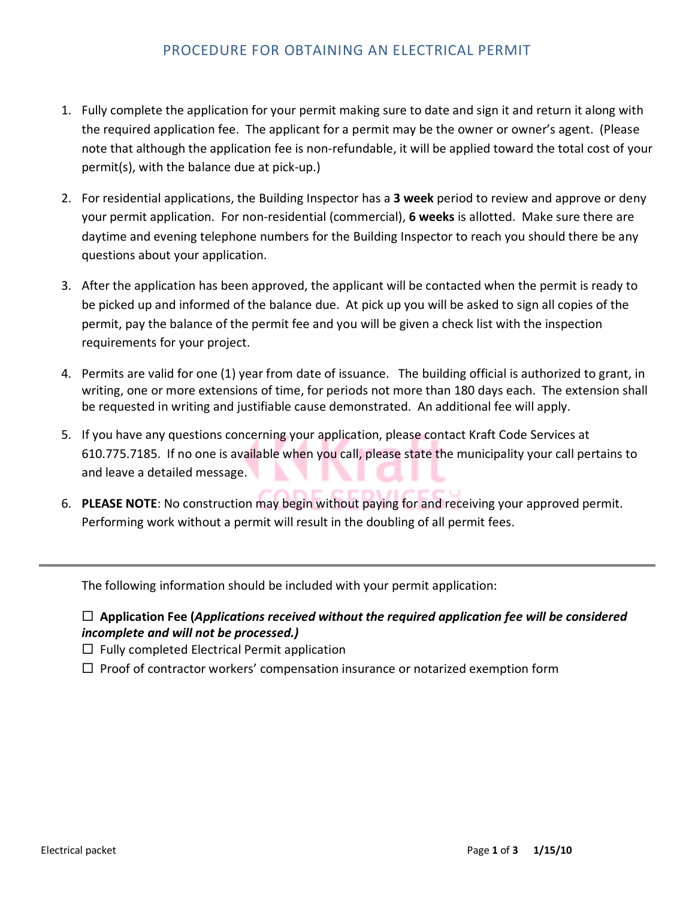## PROCEDURE FOR OBTAINING AN ELECTRICAL PERMIT

- 1. Fully complete the application for your permit making sure to date and sign it and return it along with the required application fee. The applicant for a permit may be the owner or owner's agent. (Please note that although the application fee is non-refundable, it will be applied toward the total cost of your permit(s), with the balance due at pick-up.)
- 2. For residential applications, the Building Inspector has a **3 week** period to review and approve or deny your permit application. For non-residential (commercial), **6 weeks** is allotted. Make sure there are daytime and evening telephone numbers for the Building Inspector to reach you should there be any questions about your application.
- 3. After the application has been approved, the applicant will be contacted when the permit is ready to be picked up and informed of the balance due. At pick up you will be asked to sign all copies of the permit, pay the balance of the permit fee and you will be given a check list with the inspection requirements for your project.
- 4. Permits are valid for one (1) year from date of issuance. The building official is authorized to grant, in writing, one or more extensions of time, for periods not more than 180 days each. The extension shall be requested in writing and justifiable cause demonstrated. An additional fee will apply.
- 5. If you have any questions concerning your application, please contact Kraft Code Services at 610.775.7185. If no one is available when you call, please state the municipality your call pertains to and leave a detailed message.
- 6. **PLEASE NOTE**: No construction may begin without paying for and receiving your approved permit. Performing work without a permit will result in the doubling of all permit fees.

The following information should be included with your permit application:

## **Application Fee (***Applications received without the required application fee will be considered incomplete and will not be processed.)*

 $\Box$  Fully completed Electrical Permit application

 $\Box$  Proof of contractor workers' compensation insurance or notarized exemption form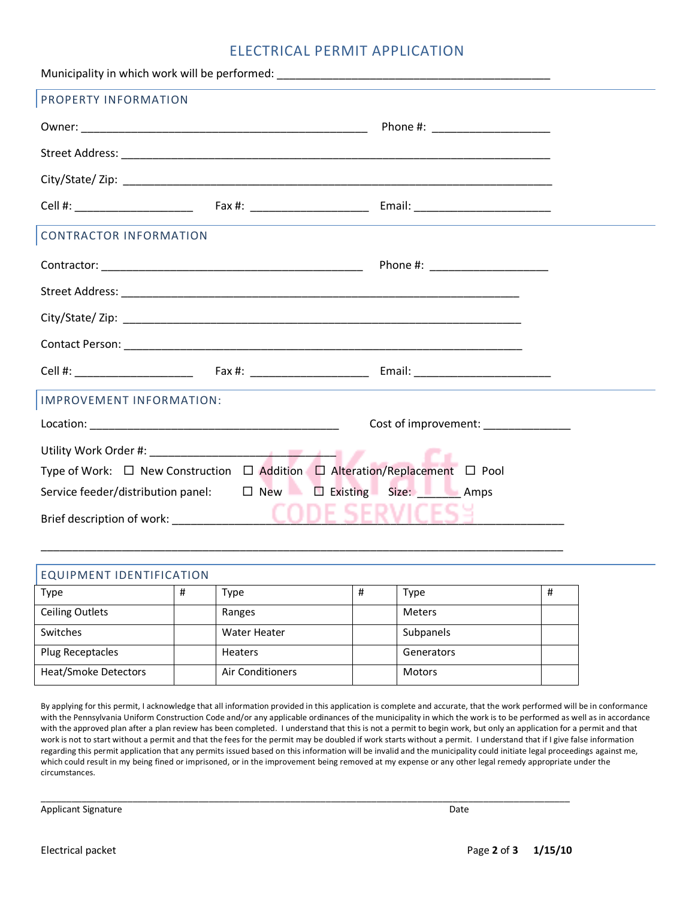## ELECTRICAL PERMIT APPLICATION

| PROPERTY INFORMATION                                                        |                      |  |  |  |
|-----------------------------------------------------------------------------|----------------------|--|--|--|
|                                                                             |                      |  |  |  |
|                                                                             |                      |  |  |  |
|                                                                             |                      |  |  |  |
|                                                                             |                      |  |  |  |
| <b>CONTRACTOR INFORMATION</b>                                               |                      |  |  |  |
|                                                                             |                      |  |  |  |
|                                                                             |                      |  |  |  |
|                                                                             |                      |  |  |  |
|                                                                             |                      |  |  |  |
|                                                                             |                      |  |  |  |
| IMPROVEMENT INFORMATION:                                                    |                      |  |  |  |
|                                                                             | Cost of improvement: |  |  |  |
|                                                                             |                      |  |  |  |
| Type of Work: □ New Construction □ Addition □ Alteration/Replacement □ Pool |                      |  |  |  |
| Service feeder/distribution panel: $\Box$ New $\Box$ Existing Size: Amps    |                      |  |  |  |
|                                                                             |                      |  |  |  |

| <b>EQUIPMENT IDENTIFICATION</b> |   |                         |   |               |   |
|---------------------------------|---|-------------------------|---|---------------|---|
| Type                            | # | Type                    | # | Type          | Ħ |
| <b>Ceiling Outlets</b>          |   | Ranges                  |   | Meters        |   |
| Switches                        |   | Water Heater            |   | Subpanels     |   |
| Plug Receptacles                |   | <b>Heaters</b>          |   | Generators    |   |
| <b>Heat/Smoke Detectors</b>     |   | <b>Air Conditioners</b> |   | <b>Motors</b> |   |

\_\_\_\_\_\_\_\_\_\_\_\_\_\_\_\_\_\_\_\_\_\_\_\_\_\_\_\_\_\_\_\_\_\_\_\_\_\_\_\_\_\_\_\_\_\_\_\_\_\_\_\_\_\_\_\_\_\_\_\_\_\_\_\_\_\_\_\_\_\_\_\_\_\_\_\_\_\_\_\_\_\_\_\_\_\_\_\_\_\_\_\_\_\_\_\_\_\_\_\_\_\_\_\_

\_\_\_\_\_\_\_\_\_\_\_\_\_\_\_\_\_\_\_\_\_\_\_\_\_\_\_\_\_\_\_\_\_\_\_\_\_\_\_\_\_\_\_\_\_\_\_\_\_\_\_\_\_\_\_\_\_\_\_\_\_\_\_\_\_\_\_\_\_\_\_\_\_\_\_\_\_\_\_\_\_\_\_\_

By applying for this permit, I acknowledge that all information provided in this application is complete and accurate, that the work performed will be in conformance with the Pennsylvania Uniform Construction Code and/or any applicable ordinances of the municipality in which the work is to be performed as well as in accordance with the approved plan after a plan review has been completed. I understand that this is not a permit to begin work, but only an application for a permit and that work is not to start without a permit and that the fees for the permit may be doubled if work starts without a permit. I understand that if I give false information regarding this permit application that any permits issued based on this information will be invalid and the municipality could initiate legal proceedings against me, which could result in my being fined or imprisoned, or in the improvement being removed at my expense or any other legal remedy appropriate under the circumstances.

Applicant Signature Date of the Date of the Date of the Date of the Date of the Date of the Date of the Date of the Date of the Date of the Date of the Date of the Date of the Date of the Date of the Date of the Date of th